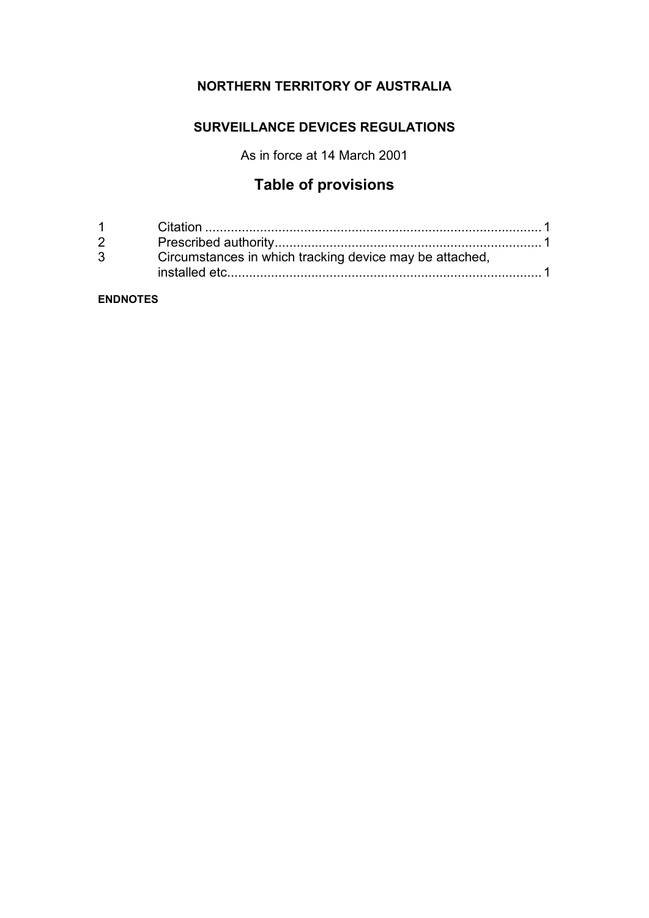## **NORTHERN TERRITORY OF AUSTRALIA**

## **SURVEILLANCE DEVICES REGULATIONS**

As in force at 14 March 2001

# **Table of provisions**

| $1 \quad \blacksquare$ |                                                         |
|------------------------|---------------------------------------------------------|
| $2^{\circ}$            |                                                         |
| $3^{\circ}$            | Circumstances in which tracking device may be attached, |
|                        |                                                         |

#### **ENDNOTES**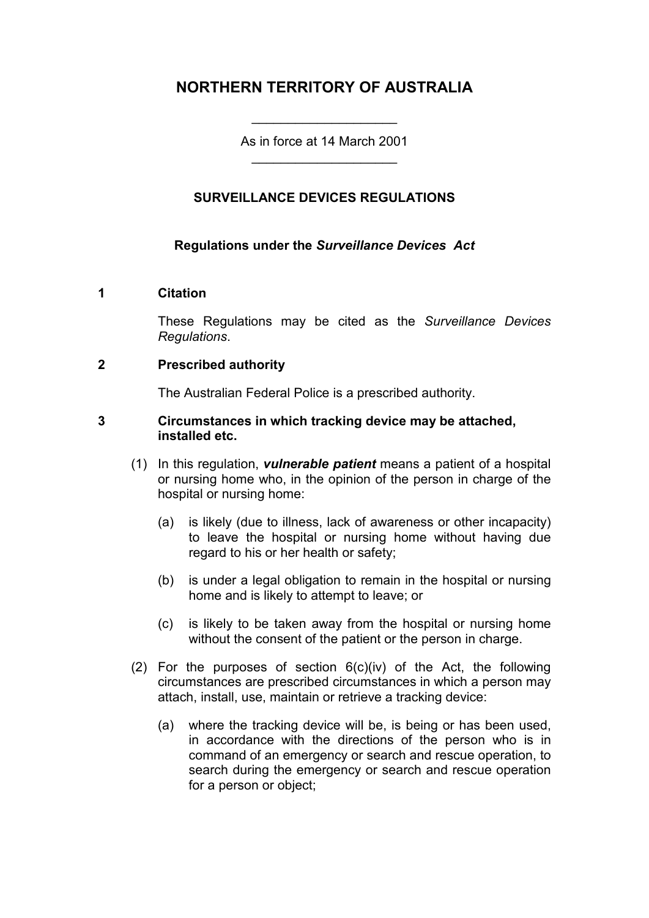## **NORTHERN TERRITORY OF AUSTRALIA**

As in force at 14 March 2001 \_\_\_\_\_\_\_\_\_\_\_\_\_\_\_\_\_\_\_\_

\_\_\_\_\_\_\_\_\_\_\_\_\_\_\_\_\_\_\_\_

## **SURVEILLANCE DEVICES REGULATIONS**

### **Regulations under the** *Surveillance Devices Act*

#### **1 Citation**

These Regulations may be cited as the *Surveillance Devices Regulations*.

#### **2 Prescribed authority**

The Australian Federal Police is a prescribed authority.

#### **3 Circumstances in which tracking device may be attached, installed etc.**

- (1) In this regulation, *vulnerable patient* means a patient of a hospital or nursing home who, in the opinion of the person in charge of the hospital or nursing home:
	- (a) is likely (due to illness, lack of awareness or other incapacity) to leave the hospital or nursing home without having due regard to his or her health or safety;
	- (b) is under a legal obligation to remain in the hospital or nursing home and is likely to attempt to leave; or
	- (c) is likely to be taken away from the hospital or nursing home without the consent of the patient or the person in charge.
- (2) For the purposes of section  $6(c)(iv)$  of the Act, the following circumstances are prescribed circumstances in which a person may attach, install, use, maintain or retrieve a tracking device:
	- (a) where the tracking device will be, is being or has been used, in accordance with the directions of the person who is in command of an emergency or search and rescue operation, to search during the emergency or search and rescue operation for a person or object;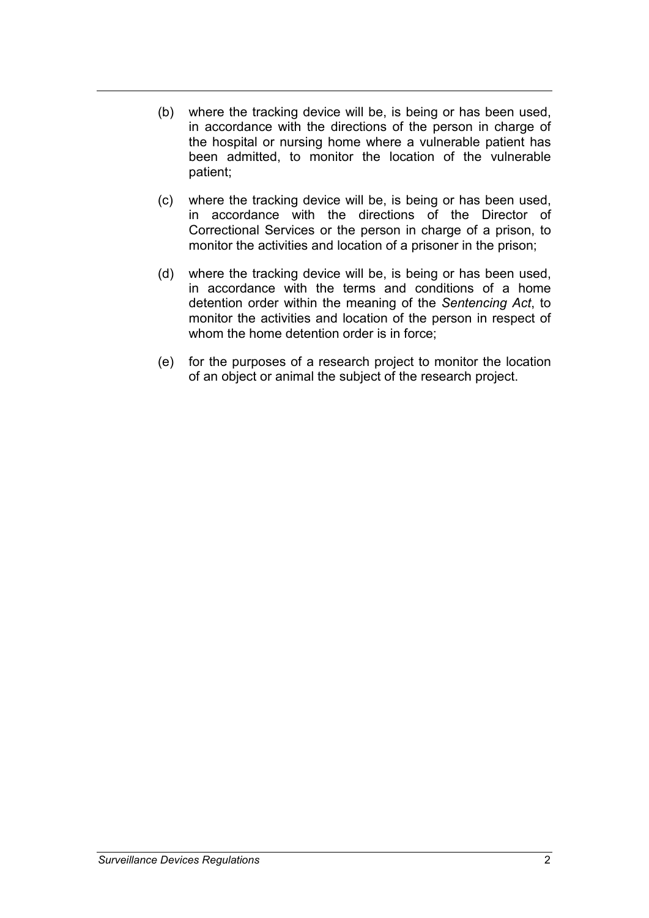- (b) where the tracking device will be, is being or has been used, in accordance with the directions of the person in charge of the hospital or nursing home where a vulnerable patient has been admitted, to monitor the location of the vulnerable patient;
- (c) where the tracking device will be, is being or has been used, in accordance with the directions of the Director of Correctional Services or the person in charge of a prison, to monitor the activities and location of a prisoner in the prison;
- (d) where the tracking device will be, is being or has been used, in accordance with the terms and conditions of a home detention order within the meaning of the *Sentencing Act*, to monitor the activities and location of the person in respect of whom the home detention order is in force;
- (e) for the purposes of a research project to monitor the location of an object or animal the subject of the research project.